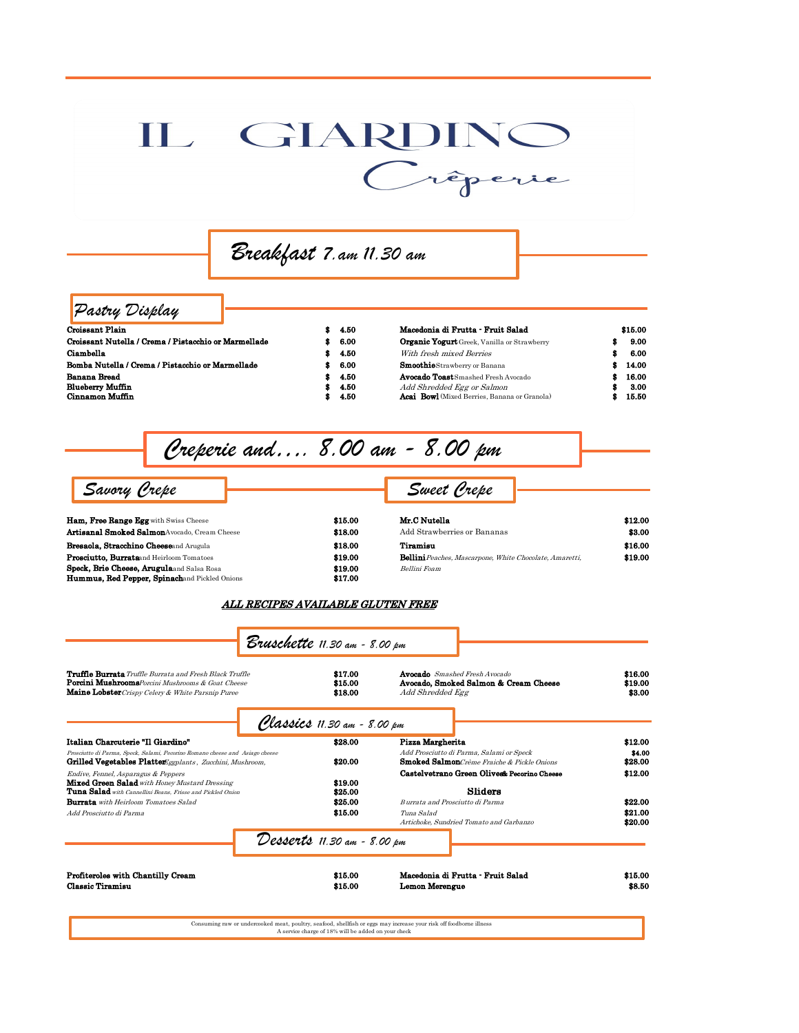## IL GIARDINO

 *Breakfast 7.am 11.30 am* 

## *Pastry Display*

| <b>Croissant Plain</b>                               | \$4.50 | Macedonia di Frutta - Fruit Salad                   | \$15.00 |
|------------------------------------------------------|--------|-----------------------------------------------------|---------|
| Croissant Nutella / Crema / Pistacchio or Marmellade | \$6.00 | <b>Organic Yogurt</b> Greek, Vanilla or Strawberry  | 9.00    |
| Ciambella                                            | \$4.50 | With fresh mixed Berries                            | 6.00    |
| Bomba Nutella / Crema / Pistacchio or Marmellade     | \$6.00 | <b>Smoothie</b> Strawberry or Banana                | 14.00   |
| <b>Banana Bread</b>                                  | \$4.50 | <b>Avocado Toast</b> Smashed Fresh Avocado          | 16.00   |
| <b>Blueberry Muffin</b>                              | -4.50  | Add Shredded Egg or Salmon                          | 3.00    |
| Cinnamon Muffin                                      | - 4.50 | <b>Acai</b> Bowl (Mixed Berries, Banana or Granola) | 15.50   |
|                                                      |        |                                                     |         |

 *Creperie and…. 8.00 am - 8.00 pm* 

 *Savory Crepe Sweet Crepe* 

| Ham. Free Range Egg with Swiss Cheese                | \$15.00 | Mr.C Nutel          |
|------------------------------------------------------|---------|---------------------|
| <b>Artisanal Smoked Salmon</b> Avocado. Cream Cheese | \$18.00 | Add Strawl          |
| <b>Bresaola, Stracchino Cheeseand Arugula</b>        | \$18.00 | Tiramisu            |
| <b>Prosciutto, Burrata</b> and Heirloom Tomatoes     | \$19.00 | <b>Bellini</b> Peac |
| <b>Speck, Brie Cheese, Arugula</b> and Salsa Rosa    | \$19.00 | Bellini Foam        |
| Hummus, Red Pepper, Spinachand Pickled Onions        | \$17.00 |                     |

| \$15.00 |
|---------|
| \$18.00 |
| \$18.00 |
| \$19.00 |
| \$19.00 |
| \$17.00 |

| Ham, Free Range Egg with Swiss Cheese                | \$15.00 | Mr.C Nutella                                                   | \$12.00 |
|------------------------------------------------------|---------|----------------------------------------------------------------|---------|
| <b>Artisanal Smoked Salmon</b> Avocado. Cream Cheese | \$18.00 | Add Strawberries or Bananas                                    | \$3.00  |
| Bresaola, Stracchino Cheeseand Arugula               | \$18.00 | Tiramiau                                                       | \$16.00 |
| <b>Prosciutto, Burrata</b> and Heirloom Tomatoes     | \$19.00 | <b>Bellini</b> Peaches, Mascarpone, White Chocolate, Amaretti, | \$19.00 |
| Speck. Brie Cheese. Arugulaand Salsa Rosa            | \$19.00 | Bellini Foam                                                   |         |
|                                                      |         |                                                                |         |

ALL RECIPES AVAILABLE GLUTEN FREE

| <b>Truffle Burrata</b> Truffle Burrata and Fresh Black Truffle<br><b>Porcini Mushrooms</b> Porcini Mushrooms & Goat Cheese<br>Maine Lobster Crispy Celery & White Parsnip Puree | \$17.00<br>\$15.00<br>\$18.00 | <b>Avocado</b> Smashed Fresh Avocado<br>Avocado, Smoked Salmon & Cream Cheese<br>Add Shredded Egg | \$16.00<br>\$19.00<br>\$3.00 |
|---------------------------------------------------------------------------------------------------------------------------------------------------------------------------------|-------------------------------|---------------------------------------------------------------------------------------------------|------------------------------|
|                                                                                                                                                                                 | Classics 11.30 am - 8.00 pm   |                                                                                                   |                              |
| Italian Charcuterie "Il Giardino"                                                                                                                                               | \$28.00                       | Pizza Margherita                                                                                  | \$12.00                      |
| Prosciutto di Parma, Speck, Salami, Pecorino Romano cheese and Asiago cheese<br><b>Grilled Vegetables Platter</b> Eggplants, Zucchini, Mushroom,                                | \$20.00                       | Add Prosciutto di Parma, Salami or Speck<br><b>Smoked Salmon</b> Crème Fraiche & Pickle Onions    | \$4.00<br>\$28.00            |
| Endive, Fennel, Asparagus & Peppers                                                                                                                                             |                               | Castelvetrano Green Olives& Pecorino Cheese                                                       | \$12.00                      |
| <b>Mixed Green Salad</b> with Honey Mustard Dressing<br><b>Tuna Salad</b> with Cannellini Beans, Frisse and Pickled Onion                                                       | \$19.00<br>\$25.00            | Sliders                                                                                           |                              |
| <b>Burrata</b> with Heirloom Tomatoes Salad                                                                                                                                     | \$25.00                       | Burrata and Prosciutto di Parma                                                                   | \$22.00                      |
| Add Prosciutto di Parma                                                                                                                                                         | \$15.00                       | Tuna Salad                                                                                        | \$21.00                      |
|                                                                                                                                                                                 |                               | Artichoke, Sundried Tomato and Garbanzo                                                           | \$20.00                      |
|                                                                                                                                                                                 | Desserts 11.30 am - 8.00 pm   |                                                                                                   |                              |
| Profiteroles with Chantilly Cream                                                                                                                                               | \$15.00                       | Macedonia di Frutta - Fruit Salad                                                                 | \$15.00                      |
| Classic Tiramisu                                                                                                                                                                | \$15.00                       | Lemon Merengue                                                                                    | \$8.50                       |

A service charge of 18% will be added on your check